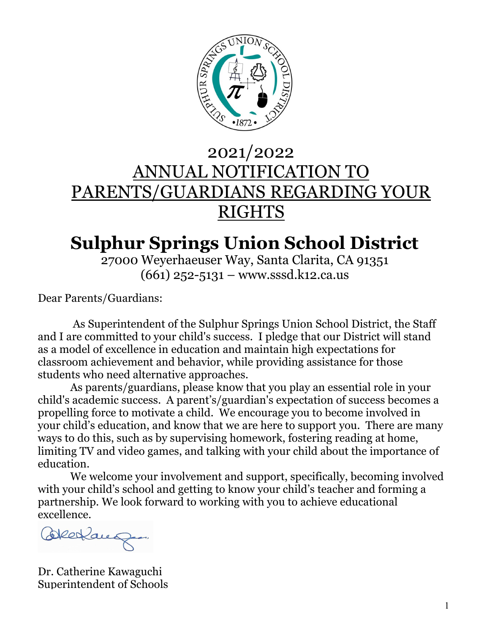

# 2021/2022 ANNUAL NOTIFICATION TO PARENTS/GUARDIANS REGARDING YOUR **RIGHTS**

# **Sulphur Springs Union School District**

27000 Weyerhaeuser Way, Santa Clarita, CA 91351 (661) 252-5131 – www.sssd.k12.ca.us

Dear Parents/Guardians:

 As Superintendent of the Sulphur Springs Union School District, the Staff and I are committed to your child's success. I pledge that our District will stand as a model of excellence in education and maintain high expectations for classroom achievement and behavior, while providing assistance for those students who need alternative approaches.

 As parents/guardians, please know that you play an essential role in your child's academic success. A parent's/guardian's expectation of success becomes a propelling force to motivate a child. We encourage you to become involved in your child's education, and know that we are here to support you. There are many ways to do this, such as by supervising homework, fostering reading at home, limiting TV and video games, and talking with your child about the importance of education.

 We welcome your involvement and support, specifically, becoming involved with your child's school and getting to know your child's teacher and forming a partnership. We look forward to working with you to achieve educational excellence.

Bleckaug.

Dr. Catherine Kawaguchi Superintendent of Schools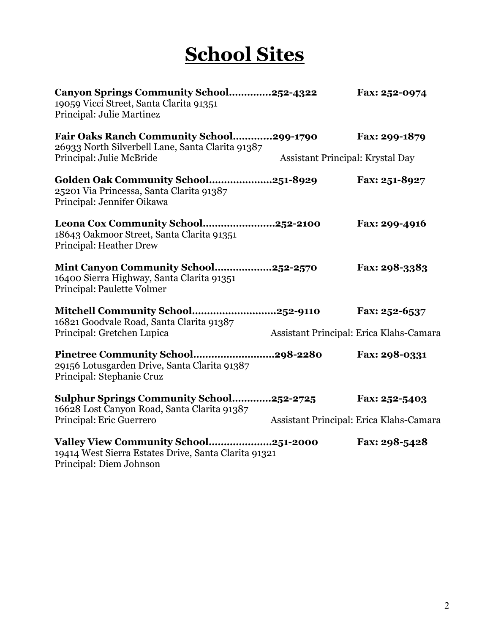# **School Sites**

| Canyon Springs Community School252-4322<br>19059 Vicci Street, Santa Clarita 91351<br>Principal: Julie Martinez         |                                  | Fax: 252-0974                           |
|-------------------------------------------------------------------------------------------------------------------------|----------------------------------|-----------------------------------------|
| <b>Fair Oaks Ranch Community School299-1790</b><br>26933 North Silverbell Lane, Santa Clarita 91387                     |                                  | Fax: 299-1879                           |
| Principal: Julie McBride                                                                                                | Assistant Principal: Krystal Day |                                         |
| Golden Oak Community School251-8929<br>25201 Via Princessa, Santa Clarita 91387<br>Principal: Jennifer Oikawa           |                                  | Fax: 251-8927                           |
| Leona Cox Community School252-2100<br>18643 Oakmoor Street, Santa Clarita 91351<br><b>Principal: Heather Drew</b>       |                                  | Fax: 299-4916                           |
| Mint Canyon Community School252-2570<br>16400 Sierra Highway, Santa Clarita 91351<br>Principal: Paulette Volmer         |                                  | Fax: 298-3383                           |
| Mitchell Community School252-9110                                                                                       |                                  | Fax: 252-6537                           |
| 16821 Goodvale Road, Santa Clarita 91387<br>Principal: Gretchen Lupica                                                  |                                  | Assistant Principal: Erica Klahs-Camara |
| Pinetree Community School298-2280<br>29156 Lotusgarden Drive, Santa Clarita 91387<br>Principal: Stephanie Cruz          |                                  | Fax: 298-0331                           |
| Sulphur Springs Community School252-2725<br>16628 Lost Canyon Road, Santa Clarita 91387                                 |                                  | Fax: 252-5403                           |
| Principal: Eric Guerrero                                                                                                |                                  | Assistant Principal: Erica Klahs-Camara |
| Valley View Community School251-2000<br>19414 West Sierra Estates Drive, Santa Clarita 91321<br>Principal: Diem Johnson |                                  | Fax: 298-5428                           |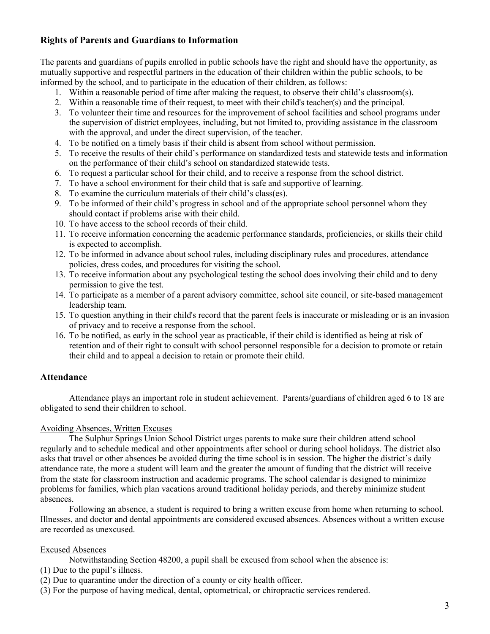# **Rights of Parents and Guardians to Information**

The parents and guardians of pupils enrolled in public schools have the right and should have the opportunity, as mutually supportive and respectful partners in the education of their children within the public schools, to be informed by the school, and to participate in the education of their children, as follows:

- 1. Within a reasonable period of time after making the request, to observe their child's classroom(s).
- 2. Within a reasonable time of their request, to meet with their child's teacher(s) and the principal.
- 3. To volunteer their time and resources for the improvement of school facilities and school programs under the supervision of district employees, including, but not limited to, providing assistance in the classroom with the approval, and under the direct supervision, of the teacher.
- 4. To be notified on a timely basis if their child is absent from school without permission.
- 5. To receive the results of their child's performance on standardized tests and statewide tests and information on the performance of their child's school on standardized statewide tests.
- 6. To request a particular school for their child, and to receive a response from the school district.
- 7. To have a school environment for their child that is safe and supportive of learning.
- 8. To examine the curriculum materials of their child's class(es).
- 9. To be informed of their child's progress in school and of the appropriate school personnel whom they should contact if problems arise with their child.
- 10. To have access to the school records of their child.
- 11. To receive information concerning the academic performance standards, proficiencies, or skills their child is expected to accomplish.
- 12. To be informed in advance about school rules, including disciplinary rules and procedures, attendance policies, dress codes, and procedures for visiting the school.
- 13. To receive information about any psychological testing the school does involving their child and to deny permission to give the test.
- 14. To participate as a member of a parent advisory committee, school site council, or site-based management leadership team.
- 15. To question anything in their child's record that the parent feels is inaccurate or misleading or is an invasion of privacy and to receive a response from the school.
- 16. To be notified, as early in the school year as practicable, if their child is identified as being at risk of retention and of their right to consult with school personnel responsible for a decision to promote or retain their child and to appeal a decision to retain or promote their child.

# **Attendance**

Attendance plays an important role in student achievement. Parents/guardians of children aged 6 to 18 are obligated to send their children to school.

# Avoiding Absences, Written Excuses

The Sulphur Springs Union School District urges parents to make sure their children attend school regularly and to schedule medical and other appointments after school or during school holidays. The district also asks that travel or other absences be avoided during the time school is in session. The higher the district's daily attendance rate, the more a student will learn and the greater the amount of funding that the district will receive from the state for classroom instruction and academic programs. The school calendar is designed to minimize problems for families, which plan vacations around traditional holiday periods, and thereby minimize student absences.

Following an absence, a student is required to bring a written excuse from home when returning to school. Illnesses, and doctor and dental appointments are considered excused absences. Absences without a written excuse are recorded as unexcused.

# Excused Absences

Notwithstanding Section 48200, a pupil shall be excused from school when the absence is:

- (1) Due to the pupil's illness.
- (2) Due to quarantine under the direction of a county or city health officer.
- (3) For the purpose of having medical, dental, optometrical, or chiropractic services rendered.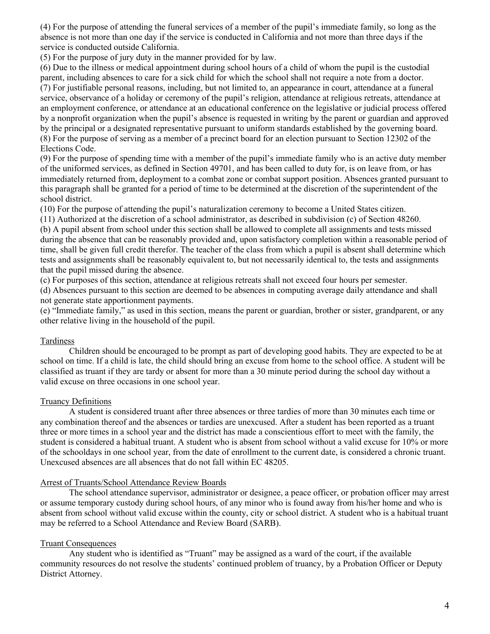(4) For the purpose of attending the funeral services of a member of the pupil's immediate family, so long as the absence is not more than one day if the service is conducted in California and not more than three days if the service is conducted outside California.

(5) For the purpose of jury duty in the manner provided for by law.

(6) Due to the illness or medical appointment during school hours of a child of whom the pupil is the custodial parent, including absences to care for a sick child for which the school shall not require a note from a doctor. (7) For justifiable personal reasons, including, but not limited to, an appearance in court, attendance at a funeral service, observance of a holiday or ceremony of the pupil's religion, attendance at religious retreats, attendance at an employment conference, or attendance at an educational conference on the legislative or judicial process offered by a nonprofit organization when the pupil's absence is requested in writing by the parent or guardian and approved by the principal or a designated representative pursuant to uniform standards established by the governing board. (8) For the purpose of serving as a member of a precinct board for an election pursuant to Section 12302 of the Elections Code.

(9) For the purpose of spending time with a member of the pupil's immediate family who is an active duty member of the uniformed services, as defined in Section 49701, and has been called to duty for, is on leave from, or has immediately returned from, deployment to a combat zone or combat support position. Absences granted pursuant to this paragraph shall be granted for a period of time to be determined at the discretion of the superintendent of the school district.

(10) For the purpose of attending the pupil's naturalization ceremony to become a United States citizen.

(11) Authorized at the discretion of a school administrator, as described in subdivision (c) of Section 48260. (b) A pupil absent from school under this section shall be allowed to complete all assignments and tests missed during the absence that can be reasonably provided and, upon satisfactory completion within a reasonable period of time, shall be given full credit therefor. The teacher of the class from which a pupil is absent shall determine which tests and assignments shall be reasonably equivalent to, but not necessarily identical to, the tests and assignments that the pupil missed during the absence.

(c) For purposes of this section, attendance at religious retreats shall not exceed four hours per semester.

(d) Absences pursuant to this section are deemed to be absences in computing average daily attendance and shall not generate state apportionment payments.

(e) "Immediate family," as used in this section, means the parent or guardian, brother or sister, grandparent, or any other relative living in the household of the pupil.

#### Tardiness

Children should be encouraged to be prompt as part of developing good habits. They are expected to be at school on time. If a child is late, the child should bring an excuse from home to the school office. A student will be classified as truant if they are tardy or absent for more than a 30 minute period during the school day without a valid excuse on three occasions in one school year.

# Truancy Definitions

A student is considered truant after three absences or three tardies of more than 30 minutes each time or any combination thereof and the absences or tardies are unexcused. After a student has been reported as a truant three or more times in a school year and the district has made a conscientious effort to meet with the family, the student is considered a habitual truant. A student who is absent from school without a valid excuse for 10% or more of the schooldays in one school year, from the date of enrollment to the current date, is considered a chronic truant. Unexcused absences are all absences that do not fall within EC 48205.

#### Arrest of Truants/School Attendance Review Boards

The school attendance supervisor, administrator or designee, a peace officer, or probation officer may arrest or assume temporary custody during school hours, of any minor who is found away from his/her home and who is absent from school without valid excuse within the county, city or school district. A student who is a habitual truant may be referred to a School Attendance and Review Board (SARB).

# Truant Consequences

Any student who is identified as "Truant" may be assigned as a ward of the court, if the available community resources do not resolve the students' continued problem of truancy, by a Probation Officer or Deputy District Attorney.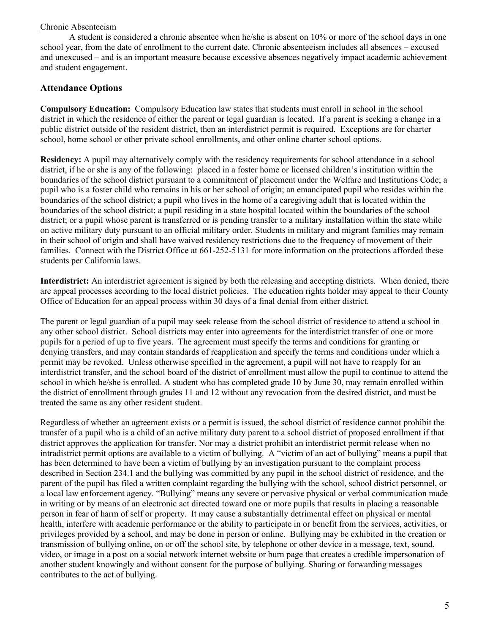# Chronic Absenteeism

A student is considered a chronic absentee when he/she is absent on 10% or more of the school days in one school year, from the date of enrollment to the current date. Chronic absenteeism includes all absences – excused and unexcused – and is an important measure because excessive absences negatively impact academic achievement and student engagement.

# **Attendance Options**

**Compulsory Education:** Compulsory Education law states that students must enroll in school in the school district in which the residence of either the parent or legal guardian is located. If a parent is seeking a change in a public district outside of the resident district, then an interdistrict permit is required. Exceptions are for charter school, home school or other private school enrollments, and other online charter school options.

**Residency:** A pupil may alternatively comply with the residency requirements for school attendance in a school district, if he or she is any of the following: placed in a foster home or licensed children's institution within the boundaries of the school district pursuant to a commitment of placement under the Welfare and Institutions Code; a pupil who is a foster child who remains in his or her school of origin; an emancipated pupil who resides within the boundaries of the school district; a pupil who lives in the home of a caregiving adult that is located within the boundaries of the school district; a pupil residing in a state hospital located within the boundaries of the school district; or a pupil whose parent is transferred or is pending transfer to a military installation within the state while on active military duty pursuant to an official military order. Students in military and migrant families may remain in their school of origin and shall have waived residency restrictions due to the frequency of movement of their families. Connect with the District Office at 661-252-5131 for more information on the protections afforded these students per California laws.

**Interdistrict:** An interdistrict agreement is signed by both the releasing and accepting districts. When denied, there are appeal processes according to the local district policies. The education rights holder may appeal to their County Office of Education for an appeal process within 30 days of a final denial from either district.

The parent or legal guardian of a pupil may seek release from the school district of residence to attend a school in any other school district. School districts may enter into agreements for the interdistrict transfer of one or more pupils for a period of up to five years. The agreement must specify the terms and conditions for granting or denying transfers, and may contain standards of reapplication and specify the terms and conditions under which a permit may be revoked. Unless otherwise specified in the agreement, a pupil will not have to reapply for an interdistrict transfer, and the school board of the district of enrollment must allow the pupil to continue to attend the school in which he/she is enrolled. A student who has completed grade 10 by June 30, may remain enrolled within the district of enrollment through grades 11 and 12 without any revocation from the desired district, and must be treated the same as any other resident student.

Regardless of whether an agreement exists or a permit is issued, the school district of residence cannot prohibit the transfer of a pupil who is a child of an active military duty parent to a school district of proposed enrollment if that district approves the application for transfer. Nor may a district prohibit an interdistrict permit release when no intradistrict permit options are available to a victim of bullying. A "victim of an act of bullying" means a pupil that has been determined to have been a victim of bullying by an investigation pursuant to the complaint process described in Section 234.1 and the bullying was committed by any pupil in the school district of residence, and the parent of the pupil has filed a written complaint regarding the bullying with the school, school district personnel, or a local law enforcement agency. "Bullying" means any severe or pervasive physical or verbal communication made in writing or by means of an electronic act directed toward one or more pupils that results in placing a reasonable person in fear of harm of self or property. It may cause a substantially detrimental effect on physical or mental health, interfere with academic performance or the ability to participate in or benefit from the services, activities, or privileges provided by a school, and may be done in person or online. Bullying may be exhibited in the creation or transmission of bullying online, on or off the school site, by telephone or other device in a message, text, sound, video, or image in a post on a social network internet website or burn page that creates a credible impersonation of another student knowingly and without consent for the purpose of bullying. Sharing or forwarding messages contributes to the act of bullying.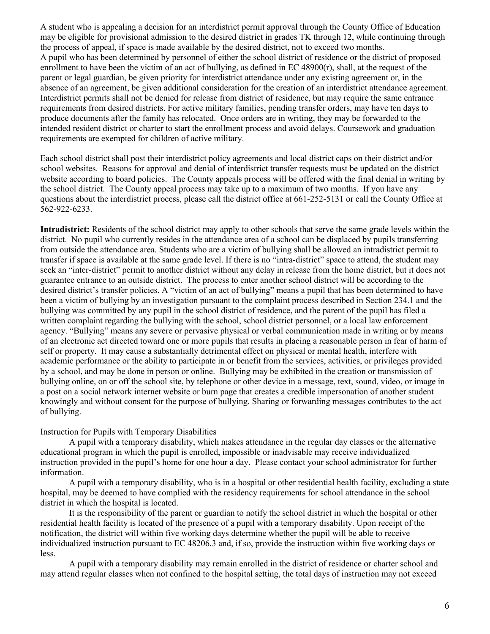A student who is appealing a decision for an interdistrict permit approval through the County Office of Education may be eligible for provisional admission to the desired district in grades TK through 12, while continuing through the process of appeal, if space is made available by the desired district, not to exceed two months. A pupil who has been determined by personnel of either the school district of residence or the district of proposed enrollment to have been the victim of an act of bullying, as defined in  $EC 48900(r)$ , shall, at the request of the parent or legal guardian, be given priority for interdistrict attendance under any existing agreement or, in the absence of an agreement, be given additional consideration for the creation of an interdistrict attendance agreement. Interdistrict permits shall not be denied for release from district of residence, but may require the same entrance requirements from desired districts. For active military families, pending transfer orders, may have ten days to produce documents after the family has relocated. Once orders are in writing, they may be forwarded to the intended resident district or charter to start the enrollment process and avoid delays. Coursework and graduation requirements are exempted for children of active military.

Each school district shall post their interdistrict policy agreements and local district caps on their district and/or school websites. Reasons for approval and denial of interdistrict transfer requests must be updated on the district website according to board policies. The County appeals process will be offered with the final denial in writing by the school district. The County appeal process may take up to a maximum of two months. If you have any questions about the interdistrict process, please call the district office at 661-252-5131 or call the County Office at 562-922-6233.

**Intradistrict:** Residents of the school district may apply to other schools that serve the same grade levels within the district. No pupil who currently resides in the attendance area of a school can be displaced by pupils transferring from outside the attendance area. Students who are a victim of bullying shall be allowed an intradistrict permit to transfer if space is available at the same grade level. If there is no "intra-district" space to attend, the student may seek an "inter-district" permit to another district without any delay in release from the home district, but it does not guarantee entrance to an outside district. The process to enter another school district will be according to the desired district's transfer policies. A "victim of an act of bullying" means a pupil that has been determined to have been a victim of bullying by an investigation pursuant to the complaint process described in Section 234.1 and the bullying was committed by any pupil in the school district of residence, and the parent of the pupil has filed a written complaint regarding the bullying with the school, school district personnel, or a local law enforcement agency. "Bullying" means any severe or pervasive physical or verbal communication made in writing or by means of an electronic act directed toward one or more pupils that results in placing a reasonable person in fear of harm of self or property. It may cause a substantially detrimental effect on physical or mental health, interfere with academic performance or the ability to participate in or benefit from the services, activities, or privileges provided by a school, and may be done in person or online. Bullying may be exhibited in the creation or transmission of bullying online, on or off the school site, by telephone or other device in a message, text, sound, video, or image in a post on a social network internet website or burn page that creates a credible impersonation of another student knowingly and without consent for the purpose of bullying. Sharing or forwarding messages contributes to the act of bullying.

#### Instruction for Pupils with Temporary Disabilities

A pupil with a temporary disability, which makes attendance in the regular day classes or the alternative educational program in which the pupil is enrolled, impossible or inadvisable may receive individualized instruction provided in the pupil's home for one hour a day. Please contact your school administrator for further information.

A pupil with a temporary disability, who is in a hospital or other residential health facility, excluding a state hospital, may be deemed to have complied with the residency requirements for school attendance in the school district in which the hospital is located.

It is the responsibility of the parent or guardian to notify the school district in which the hospital or other residential health facility is located of the presence of a pupil with a temporary disability. Upon receipt of the notification, the district will within five working days determine whether the pupil will be able to receive individualized instruction pursuant to EC 48206.3 and, if so, provide the instruction within five working days or less.

A pupil with a temporary disability may remain enrolled in the district of residence or charter school and may attend regular classes when not confined to the hospital setting, the total days of instruction may not exceed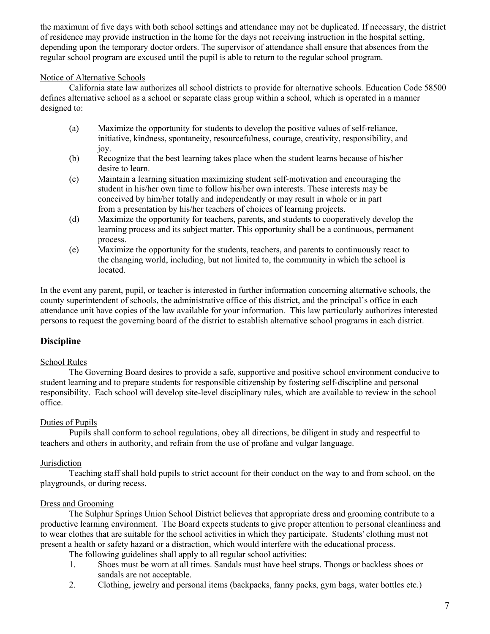the maximum of five days with both school settings and attendance may not be duplicated. If necessary, the district of residence may provide instruction in the home for the days not receiving instruction in the hospital setting, depending upon the temporary doctor orders. The supervisor of attendance shall ensure that absences from the regular school program are excused until the pupil is able to return to the regular school program.

# Notice of Alternative Schools

California state law authorizes all school districts to provide for alternative schools. Education Code 58500 defines alternative school as a school or separate class group within a school, which is operated in a manner designed to:

- (a) Maximize the opportunity for students to develop the positive values of self-reliance, initiative, kindness, spontaneity, resourcefulness, courage, creativity, responsibility, and joy.
- (b) Recognize that the best learning takes place when the student learns because of his/her desire to learn.
- (c) Maintain a learning situation maximizing student self-motivation and encouraging the student in his/her own time to follow his/her own interests. These interests may be conceived by him/her totally and independently or may result in whole or in part from a presentation by his/her teachers of choices of learning projects.
- (d) Maximize the opportunity for teachers, parents, and students to cooperatively develop the learning process and its subject matter. This opportunity shall be a continuous, permanent process.
- (e) Maximize the opportunity for the students, teachers, and parents to continuously react to the changing world, including, but not limited to, the community in which the school is located.

In the event any parent, pupil, or teacher is interested in further information concerning alternative schools, the county superintendent of schools, the administrative office of this district, and the principal's office in each attendance unit have copies of the law available for your information. This law particularly authorizes interested persons to request the governing board of the district to establish alternative school programs in each district.

# **Discipline**

# School Rules

The Governing Board desires to provide a safe, supportive and positive school environment conducive to student learning and to prepare students for responsible citizenship by fostering self-discipline and personal responsibility. Each school will develop site-level disciplinary rules, which are available to review in the school office.

# Duties of Pupils

Pupils shall conform to school regulations, obey all directions, be diligent in study and respectful to teachers and others in authority, and refrain from the use of profane and vulgar language.

# Jurisdiction

Teaching staff shall hold pupils to strict account for their conduct on the way to and from school, on the playgrounds, or during recess.

# Dress and Grooming

The Sulphur Springs Union School District believes that appropriate dress and grooming contribute to a productive learning environment. The Board expects students to give proper attention to personal cleanliness and to wear clothes that are suitable for the school activities in which they participate. Students' clothing must not present a health or safety hazard or a distraction, which would interfere with the educational process.

The following guidelines shall apply to all regular school activities:

- 1. Shoes must be worn at all times. Sandals must have heel straps. Thongs or backless shoes or sandals are not acceptable.
- 2. Clothing, jewelry and personal items (backpacks, fanny packs, gym bags, water bottles etc.)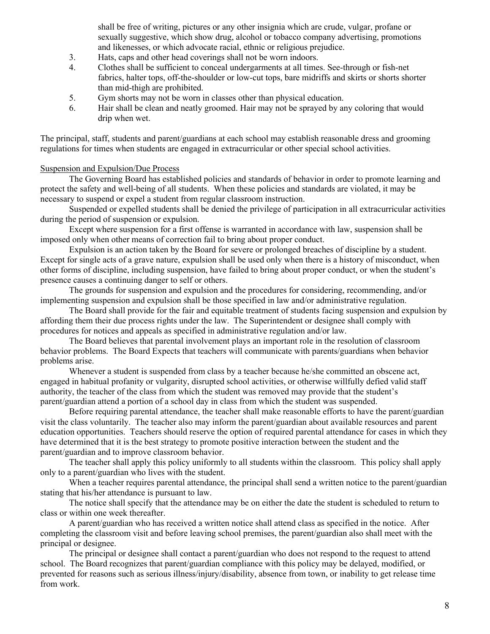shall be free of writing, pictures or any other insignia which are crude, vulgar, profane or sexually suggestive, which show drug, alcohol or tobacco company advertising, promotions and likenesses, or which advocate racial, ethnic or religious prejudice.

- 3. Hats, caps and other head coverings shall not be worn indoors.
- 4. Clothes shall be sufficient to conceal undergarments at all times. See-through or fish-net fabrics, halter tops, off-the-shoulder or low-cut tops, bare midriffs and skirts or shorts shorter than mid-thigh are prohibited.
- 5. Gym shorts may not be worn in classes other than physical education.
- 6. Hair shall be clean and neatly groomed. Hair may not be sprayed by any coloring that would drip when wet.

The principal, staff, students and parent/guardians at each school may establish reasonable dress and grooming regulations for times when students are engaged in extracurricular or other special school activities.

# Suspension and Expulsion/Due Process

The Governing Board has established policies and standards of behavior in order to promote learning and protect the safety and well-being of all students. When these policies and standards are violated, it may be necessary to suspend or expel a student from regular classroom instruction.

Suspended or expelled students shall be denied the privilege of participation in all extracurricular activities during the period of suspension or expulsion.

Except where suspension for a first offense is warranted in accordance with law, suspension shall be imposed only when other means of correction fail to bring about proper conduct.

Expulsion is an action taken by the Board for severe or prolonged breaches of discipline by a student. Except for single acts of a grave nature, expulsion shall be used only when there is a history of misconduct, when other forms of discipline, including suspension, have failed to bring about proper conduct, or when the student's presence causes a continuing danger to self or others.

The grounds for suspension and expulsion and the procedures for considering, recommending, and/or implementing suspension and expulsion shall be those specified in law and/or administrative regulation.

The Board shall provide for the fair and equitable treatment of students facing suspension and expulsion by affording them their due process rights under the law. The Superintendent or designee shall comply with procedures for notices and appeals as specified in administrative regulation and/or law.

The Board believes that parental involvement plays an important role in the resolution of classroom behavior problems. The Board Expects that teachers will communicate with parents/guardians when behavior problems arise.

Whenever a student is suspended from class by a teacher because he/she committed an obscene act, engaged in habitual profanity or vulgarity, disrupted school activities, or otherwise willfully defied valid staff authority, the teacher of the class from which the student was removed may provide that the student's parent/guardian attend a portion of a school day in class from which the student was suspended.

Before requiring parental attendance, the teacher shall make reasonable efforts to have the parent/guardian visit the class voluntarily. The teacher also may inform the parent/guardian about available resources and parent education opportunities. Teachers should reserve the option of required parental attendance for cases in which they have determined that it is the best strategy to promote positive interaction between the student and the parent/guardian and to improve classroom behavior.

The teacher shall apply this policy uniformly to all students within the classroom. This policy shall apply only to a parent/guardian who lives with the student.

When a teacher requires parental attendance, the principal shall send a written notice to the parent/guardian stating that his/her attendance is pursuant to law.

The notice shall specify that the attendance may be on either the date the student is scheduled to return to class or within one week thereafter.

A parent/guardian who has received a written notice shall attend class as specified in the notice. After completing the classroom visit and before leaving school premises, the parent/guardian also shall meet with the principal or designee.

The principal or designee shall contact a parent/guardian who does not respond to the request to attend school. The Board recognizes that parent/guardian compliance with this policy may be delayed, modified, or prevented for reasons such as serious illness/injury/disability, absence from town, or inability to get release time from work.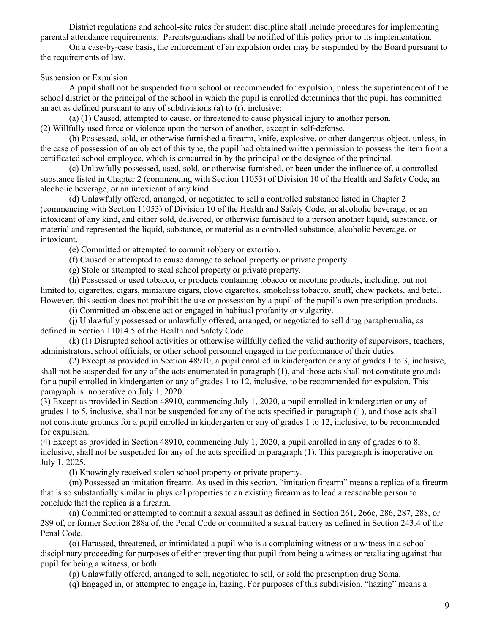District regulations and school-site rules for student discipline shall include procedures for implementing parental attendance requirements. Parents/guardians shall be notified of this policy prior to its implementation.

On a case-by-case basis, the enforcement of an expulsion order may be suspended by the Board pursuant to the requirements of law.

#### Suspension or Expulsion

A pupil shall not be suspended from school or recommended for expulsion, unless the superintendent of the school district or the principal of the school in which the pupil is enrolled determines that the pupil has committed an act as defined pursuant to any of subdivisions (a) to (r), inclusive:

(a) (1) Caused, attempted to cause, or threatened to cause physical injury to another person. (2) Willfully used force or violence upon the person of another, except in self-defense.

(b) Possessed, sold, or otherwise furnished a firearm, knife, explosive, or other dangerous object, unless, in the case of possession of an object of this type, the pupil had obtained written permission to possess the item from a certificated school employee, which is concurred in by the principal or the designee of the principal.

(c) Unlawfully possessed, used, sold, or otherwise furnished, or been under the influence of, a controlled substance listed in Chapter 2 (commencing with Section 11053) of Division 10 of the Health and Safety Code, an alcoholic beverage, or an intoxicant of any kind.

(d) Unlawfully offered, arranged, or negotiated to sell a controlled substance listed in Chapter 2 (commencing with Section 11053) of Division 10 of the Health and Safety Code, an alcoholic beverage, or an intoxicant of any kind, and either sold, delivered, or otherwise furnished to a person another liquid, substance, or material and represented the liquid, substance, or material as a controlled substance, alcoholic beverage, or intoxicant.

(e) Committed or attempted to commit robbery or extortion.

(f) Caused or attempted to cause damage to school property or private property.

(g) Stole or attempted to steal school property or private property.

(h) Possessed or used tobacco, or products containing tobacco or nicotine products, including, but not limited to, cigarettes, cigars, miniature cigars, clove cigarettes, smokeless tobacco, snuff, chew packets, and betel. However, this section does not prohibit the use or possession by a pupil of the pupil's own prescription products.

(i) Committed an obscene act or engaged in habitual profanity or vulgarity.

(j) Unlawfully possessed or unlawfully offered, arranged, or negotiated to sell drug paraphernalia, as defined in Section 11014.5 of the Health and Safety Code.

(k) (1) Disrupted school activities or otherwise willfully defied the valid authority of supervisors, teachers, administrators, school officials, or other school personnel engaged in the performance of their duties.

(2) Except as provided in Section 48910, a pupil enrolled in kindergarten or any of grades 1 to 3, inclusive, shall not be suspended for any of the acts enumerated in paragraph (1), and those acts shall not constitute grounds for a pupil enrolled in kindergarten or any of grades 1 to 12, inclusive, to be recommended for expulsion. This paragraph is inoperative on July 1, 2020.

(3) Except as provided in Section 48910, commencing July 1, 2020, a pupil enrolled in kindergarten or any of grades 1 to 5, inclusive, shall not be suspended for any of the acts specified in paragraph (1), and those acts shall not constitute grounds for a pupil enrolled in kindergarten or any of grades 1 to 12, inclusive, to be recommended for expulsion.

(4) Except as provided in Section 48910, commencing July 1, 2020, a pupil enrolled in any of grades 6 to 8, inclusive, shall not be suspended for any of the acts specified in paragraph (1). This paragraph is inoperative on July 1, 2025.

(l) Knowingly received stolen school property or private property.

(m) Possessed an imitation firearm. As used in this section, "imitation firearm" means a replica of a firearm that is so substantially similar in physical properties to an existing firearm as to lead a reasonable person to conclude that the replica is a firearm.

(n) Committed or attempted to commit a sexual assault as defined in Section 261, 266c, 286, 287, 288, or 289 of, or former Section 288a of, the Penal Code or committed a sexual battery as defined in Section 243.4 of the Penal Code.

(o) Harassed, threatened, or intimidated a pupil who is a complaining witness or a witness in a school disciplinary proceeding for purposes of either preventing that pupil from being a witness or retaliating against that pupil for being a witness, or both.

(p) Unlawfully offered, arranged to sell, negotiated to sell, or sold the prescription drug Soma.

(q) Engaged in, or attempted to engage in, hazing. For purposes of this subdivision, "hazing" means a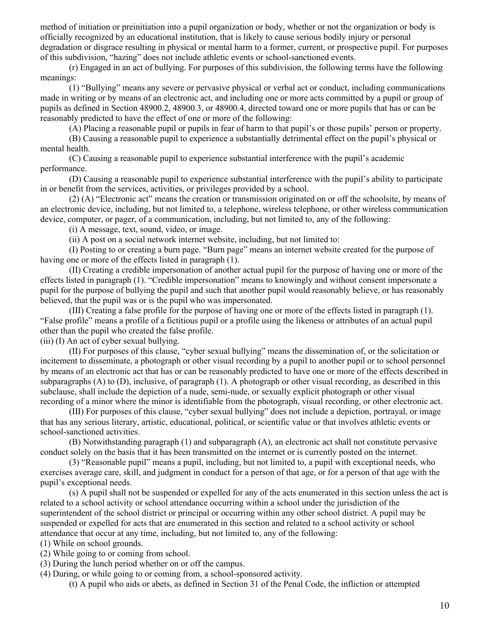method of initiation or preinitiation into a pupil organization or body, whether or not the organization or body is officially recognized by an educational institution, that is likely to cause serious bodily injury or personal degradation or disgrace resulting in physical or mental harm to a former, current, or prospective pupil. For purposes of this subdivision, "hazing" does not include athletic events or school-sanctioned events.

(r) Engaged in an act of bullying. For purposes of this subdivision, the following terms have the following meanings:

(1) "Bullying" means any severe or pervasive physical or verbal act or conduct, including communications made in writing or by means of an electronic act, and including one or more acts committed by a pupil or group of pupils as defined in Section 48900.2, 48900.3, or 48900.4, directed toward one or more pupils that has or can be reasonably predicted to have the effect of one or more of the following:

(A) Placing a reasonable pupil or pupils in fear of harm to that pupil's or those pupils' person or property.

(B) Causing a reasonable pupil to experience a substantially detrimental effect on the pupil's physical or mental health.

(C) Causing a reasonable pupil to experience substantial interference with the pupil's academic performance.

(D) Causing a reasonable pupil to experience substantial interference with the pupil's ability to participate in or benefit from the services, activities, or privileges provided by a school.

(2) (A) "Electronic act" means the creation or transmission originated on or off the schoolsite, by means of an electronic device, including, but not limited to, a telephone, wireless telephone, or other wireless communication device, computer, or pager, of a communication, including, but not limited to, any of the following:

(i) A message, text, sound, video, or image.

(ii) A post on a social network internet website, including, but not limited to:

(I) Posting to or creating a burn page. "Burn page" means an internet website created for the purpose of having one or more of the effects listed in paragraph (1).

(II) Creating a credible impersonation of another actual pupil for the purpose of having one or more of the effects listed in paragraph (1). "Credible impersonation" means to knowingly and without consent impersonate a pupil for the purpose of bullying the pupil and such that another pupil would reasonably believe, or has reasonably believed, that the pupil was or is the pupil who was impersonated.

(III) Creating a false profile for the purpose of having one or more of the effects listed in paragraph (1). "False profile" means a profile of a fictitious pupil or a profile using the likeness or attributes of an actual pupil other than the pupil who created the false profile.

(iii) (I) An act of cyber sexual bullying.

(II) For purposes of this clause, "cyber sexual bullying" means the dissemination of, or the solicitation or incitement to disseminate, a photograph or other visual recording by a pupil to another pupil or to school personnel by means of an electronic act that has or can be reasonably predicted to have one or more of the effects described in subparagraphs (A) to (D), inclusive, of paragraph (1). A photograph or other visual recording, as described in this subclause, shall include the depiction of a nude, semi-nude, or sexually explicit photograph or other visual recording of a minor where the minor is identifiable from the photograph, visual recording, or other electronic act.

(III) For purposes of this clause, "cyber sexual bullying" does not include a depiction, portrayal, or image that has any serious literary, artistic, educational, political, or scientific value or that involves athletic events or school-sanctioned activities.

(B) Notwithstanding paragraph (1) and subparagraph (A), an electronic act shall not constitute pervasive conduct solely on the basis that it has been transmitted on the internet or is currently posted on the internet.

(3) "Reasonable pupil" means a pupil, including, but not limited to, a pupil with exceptional needs, who exercises average care, skill, and judgment in conduct for a person of that age, or for a person of that age with the pupil's exceptional needs.

(s) A pupil shall not be suspended or expelled for any of the acts enumerated in this section unless the act is related to a school activity or school attendance occurring within a school under the jurisdiction of the superintendent of the school district or principal or occurring within any other school district. A pupil may be suspended or expelled for acts that are enumerated in this section and related to a school activity or school attendance that occur at any time, including, but not limited to, any of the following:

(1) While on school grounds.

(2) While going to or coming from school.

(3) During the lunch period whether on or off the campus.

(4) During, or while going to or coming from, a school-sponsored activity.

(t) A pupil who aids or abets, as defined in Section 31 of the Penal Code, the infliction or attempted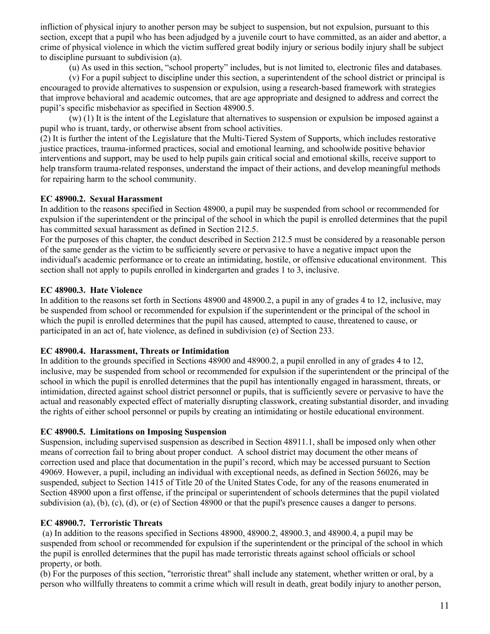infliction of physical injury to another person may be subject to suspension, but not expulsion, pursuant to this section, except that a pupil who has been adjudged by a juvenile court to have committed, as an aider and abettor, a crime of physical violence in which the victim suffered great bodily injury or serious bodily injury shall be subject to discipline pursuant to subdivision (a).

(u) As used in this section, "school property" includes, but is not limited to, electronic files and databases.

(v) For a pupil subject to discipline under this section, a superintendent of the school district or principal is encouraged to provide alternatives to suspension or expulsion, using a research-based framework with strategies that improve behavioral and academic outcomes, that are age appropriate and designed to address and correct the pupil's specific misbehavior as specified in Section 48900.5.

(w) (1) It is the intent of the Legislature that alternatives to suspension or expulsion be imposed against a pupil who is truant, tardy, or otherwise absent from school activities.

(2) It is further the intent of the Legislature that the Multi-Tiered System of Supports, which includes restorative justice practices, trauma-informed practices, social and emotional learning, and schoolwide positive behavior interventions and support, may be used to help pupils gain critical social and emotional skills, receive support to help transform trauma-related responses, understand the impact of their actions, and develop meaningful methods for repairing harm to the school community.

# **EC 48900.2. Sexual Harassment**

In addition to the reasons specified in Section 48900, a pupil may be suspended from school or recommended for expulsion if the superintendent or the principal of the school in which the pupil is enrolled determines that the pupil has committed sexual harassment as defined in Section 212.5.

For the purposes of this chapter, the conduct described in Section 212.5 must be considered by a reasonable person of the same gender as the victim to be sufficiently severe or pervasive to have a negative impact upon the individual's academic performance or to create an intimidating, hostile, or offensive educational environment. This section shall not apply to pupils enrolled in kindergarten and grades 1 to 3, inclusive.

# **EC 48900.3. Hate Violence**

In addition to the reasons set forth in Sections 48900 and 48900.2, a pupil in any of grades 4 to 12, inclusive, may be suspended from school or recommended for expulsion if the superintendent or the principal of the school in which the pupil is enrolled determines that the pupil has caused, attempted to cause, threatened to cause, or participated in an act of, hate violence, as defined in subdivision (e) of Section 233.

#### **EC 48900.4. Harassment, Threats or Intimidation**

In addition to the grounds specified in Sections 48900 and 48900.2, a pupil enrolled in any of grades 4 to 12, inclusive, may be suspended from school or recommended for expulsion if the superintendent or the principal of the school in which the pupil is enrolled determines that the pupil has intentionally engaged in harassment, threats, or intimidation, directed against school district personnel or pupils, that is sufficiently severe or pervasive to have the actual and reasonably expected effect of materially disrupting classwork, creating substantial disorder, and invading the rights of either school personnel or pupils by creating an intimidating or hostile educational environment.

# **EC 48900.5. Limitations on Imposing Suspension**

Suspension, including supervised suspension as described in Section 48911.1, shall be imposed only when other means of correction fail to bring about proper conduct. A school district may document the other means of correction used and place that documentation in the pupil's record, which may be accessed pursuant to Section 49069. However, a pupil, including an individual with exceptional needs, as defined in Section 56026, may be suspended, subject to Section 1415 of Title 20 of the United States Code, for any of the reasons enumerated in Section 48900 upon a first offense, if the principal or superintendent of schools determines that the pupil violated subdivision (a), (b), (c), (d), or (e) of Section 48900 or that the pupil's presence causes a danger to persons.

# **EC 48900.7. Terroristic Threats**

(a) In addition to the reasons specified in Sections 48900, 48900.2, 48900.3, and 48900.4, a pupil may be suspended from school or recommended for expulsion if the superintendent or the principal of the school in which the pupil is enrolled determines that the pupil has made terroristic threats against school officials or school property, or both.

(b) For the purposes of this section, "terroristic threat" shall include any statement, whether written or oral, by a person who willfully threatens to commit a crime which will result in death, great bodily injury to another person,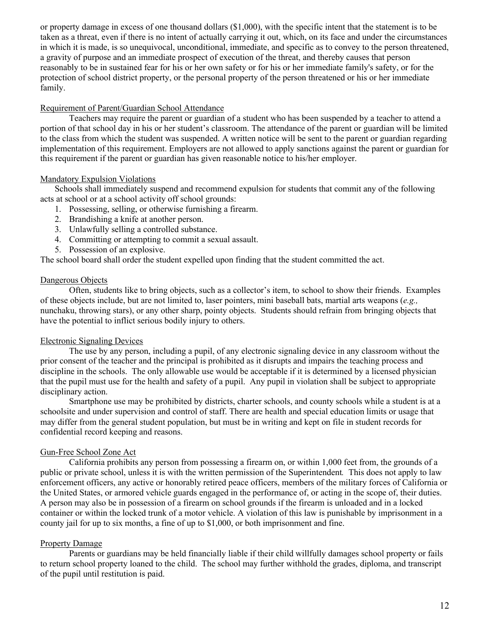or property damage in excess of one thousand dollars (\$1,000), with the specific intent that the statement is to be taken as a threat, even if there is no intent of actually carrying it out, which, on its face and under the circumstances in which it is made, is so unequivocal, unconditional, immediate, and specific as to convey to the person threatened, a gravity of purpose and an immediate prospect of execution of the threat, and thereby causes that person reasonably to be in sustained fear for his or her own safety or for his or her immediate family's safety, or for the protection of school district property, or the personal property of the person threatened or his or her immediate family.

#### Requirement of Parent/Guardian School Attendance

Teachers may require the parent or guardian of a student who has been suspended by a teacher to attend a portion of that school day in his or her student's classroom. The attendance of the parent or guardian will be limited to the class from which the student was suspended. A written notice will be sent to the parent or guardian regarding implementation of this requirement. Employers are not allowed to apply sanctions against the parent or guardian for this requirement if the parent or guardian has given reasonable notice to his/her employer.

# Mandatory Expulsion Violations

Schools shall immediately suspend and recommend expulsion for students that commit any of the following acts at school or at a school activity off school grounds:

- 1. Possessing, selling, or otherwise furnishing a firearm.
- 2. Brandishing a knife at another person.
- 3. Unlawfully selling a controlled substance.
- 4. Committing or attempting to commit a sexual assault.
- 5. Possession of an explosive.

The school board shall order the student expelled upon finding that the student committed the act.

# Dangerous Objects

Often, students like to bring objects, such as a collector's item, to school to show their friends. Examples of these objects include, but are not limited to, laser pointers, mini baseball bats, martial arts weapons (*e.g.,*  nunchaku, throwing stars), or any other sharp, pointy objects. Students should refrain from bringing objects that have the potential to inflict serious bodily injury to others.

#### Electronic Signaling Devices

The use by any person, including a pupil, of any electronic signaling device in any classroom without the prior consent of the teacher and the principal is prohibited as it disrupts and impairs the teaching process and discipline in the schools. The only allowable use would be acceptable if it is determined by a licensed physician that the pupil must use for the health and safety of a pupil. Any pupil in violation shall be subject to appropriate disciplinary action.

Smartphone use may be prohibited by districts, charter schools, and county schools while a student is at a schoolsite and under supervision and control of staff. There are health and special education limits or usage that may differ from the general student population, but must be in writing and kept on file in student records for confidential record keeping and reasons.

# Gun-Free School Zone Act

California prohibits any person from possessing a firearm on, or within 1,000 feet from, the grounds of a public or private school, unless it is with the written permission of the Superintendent*.* This does not apply to law enforcement officers, any active or honorably retired peace officers, members of the military forces of California or the United States, or armored vehicle guards engaged in the performance of, or acting in the scope of, their duties. A person may also be in possession of a firearm on school grounds if the firearm is unloaded and in a locked container or within the locked trunk of a motor vehicle. A violation of this law is punishable by imprisonment in a county jail for up to six months, a fine of up to \$1,000, or both imprisonment and fine.

# Property Damage

Parents or guardians may be held financially liable if their child willfully damages school property or fails to return school property loaned to the child. The school may further withhold the grades, diploma, and transcript of the pupil until restitution is paid.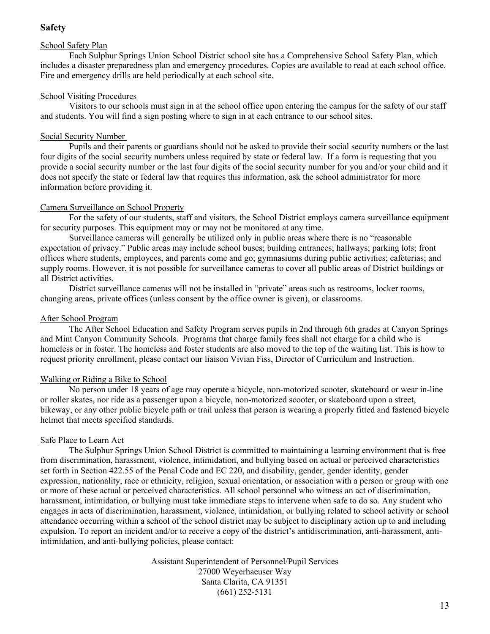# **Safety**

# School Safety Plan

Each Sulphur Springs Union School District school site has a Comprehensive School Safety Plan, which includes a disaster preparedness plan and emergency procedures. Copies are available to read at each school office. Fire and emergency drills are held periodically at each school site.

# School Visiting Procedures

Visitors to our schools must sign in at the school office upon entering the campus for the safety of our staff and students. You will find a sign posting where to sign in at each entrance to our school sites.

# Social Security Number

Pupils and their parents or guardians should not be asked to provide their social security numbers or the last four digits of the social security numbers unless required by state or federal law. If a form is requesting that you provide a social security number or the last four digits of the social security number for you and/or your child and it does not specify the state or federal law that requires this information, ask the school administrator for more information before providing it.

# Camera Surveillance on School Property

For the safety of our students, staff and visitors, the School District employs camera surveillance equipment for security purposes. This equipment may or may not be monitored at any time.

Surveillance cameras will generally be utilized only in public areas where there is no "reasonable expectation of privacy." Public areas may include school buses; building entrances; hallways; parking lots; front offices where students, employees, and parents come and go; gymnasiums during public activities; cafeterias; and supply rooms. However, it is not possible for surveillance cameras to cover all public areas of District buildings or all District activities.

District surveillance cameras will not be installed in "private" areas such as restrooms, locker rooms, changing areas, private offices (unless consent by the office owner is given), or classrooms.

# After School Program

The After School Education and Safety Program serves pupils in 2nd through 6th grades at Canyon Springs and Mint Canyon Community Schools. Programs that charge family fees shall not charge for a child who is homeless or in foster. The homeless and foster students are also moved to the top of the waiting list. This is how to request priority enrollment, please contact our liaison Vivian Fiss, Director of Curriculum and Instruction.

# Walking or Riding a Bike to School

No person under 18 years of age may operate a bicycle, non-motorized scooter, skateboard or wear in-line or roller skates, nor ride as a passenger upon a bicycle, non-motorized scooter, or skateboard upon a street, bikeway, or any other public bicycle path or trail unless that person is wearing a properly fitted and fastened bicycle helmet that meets specified standards.

# Safe Place to Learn Act

The Sulphur Springs Union School District is committed to maintaining a learning environment that is free from discrimination, harassment, violence, intimidation, and bullying based on actual or perceived characteristics set forth in Section 422.55 of the Penal Code and EC 220, and disability, gender, gender identity, gender expression, nationality, race or ethnicity, religion, sexual orientation, or association with a person or group with one or more of these actual or perceived characteristics. All school personnel who witness an act of discrimination, harassment, intimidation, or bullying must take immediate steps to intervene when safe to do so. Any student who engages in acts of discrimination, harassment, violence, intimidation, or bullying related to school activity or school attendance occurring within a school of the school district may be subject to disciplinary action up to and including expulsion. To report an incident and/or to receive a copy of the district's antidiscrimination, anti-harassment, antiintimidation, and anti-bullying policies, please contact:

> Assistant Superintendent of Personnel/Pupil Services 27000 Weyerhaeuser Way Santa Clarita, CA 91351 (661) 252-5131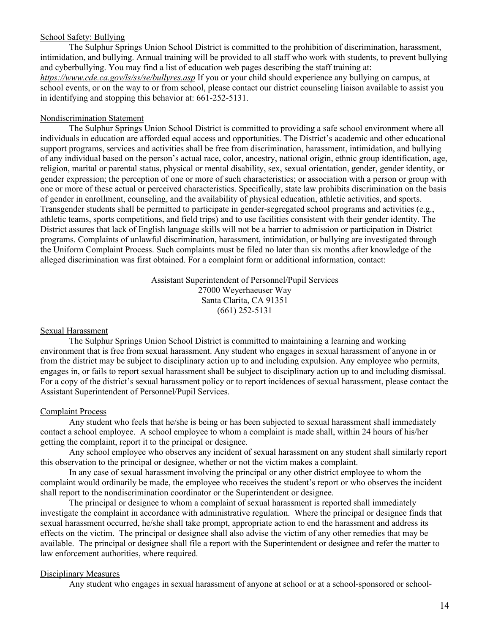#### School Safety: Bullying

The Sulphur Springs Union School District is committed to the prohibition of discrimination, harassment, intimidation, and bullying. Annual training will be provided to all staff who work with students, to prevent bullying and cyberbullying. You may find a list of education web pages describing the staff training at: *https://www.cde.ca.gov/ls/ss/se/bullyres.asp* If you or your child should experience any bullying on campus, at school events, or on the way to or from school, please contact our district counseling liaison available to assist you in identifying and stopping this behavior at: 661-252-5131.

#### Nondiscrimination Statement

The Sulphur Springs Union School District is committed to providing a safe school environment where all individuals in education are afforded equal access and opportunities. The District's academic and other educational support programs, services and activities shall be free from discrimination, harassment, intimidation, and bullying of any individual based on the person's actual race, color, ancestry, national origin, ethnic group identification, age, religion, marital or parental status, physical or mental disability, sex, sexual orientation, gender, gender identity, or gender expression; the perception of one or more of such characteristics; or association with a person or group with one or more of these actual or perceived characteristics. Specifically, state law prohibits discrimination on the basis of gender in enrollment, counseling, and the availability of physical education, athletic activities, and sports. Transgender students shall be permitted to participate in gender-segregated school programs and activities (e.g., athletic teams, sports competitions, and field trips) and to use facilities consistent with their gender identity. The District assures that lack of English language skills will not be a barrier to admission or participation in District programs. Complaints of unlawful discrimination, harassment, intimidation, or bullying are investigated through the Uniform Complaint Process. Such complaints must be filed no later than six months after knowledge of the alleged discrimination was first obtained. For a complaint form or additional information, contact:

> Assistant Superintendent of Personnel/Pupil Services 27000 Weyerhaeuser Way Santa Clarita, CA 91351 (661) 252-5131

#### Sexual Harassment

The Sulphur Springs Union School District is committed to maintaining a learning and working environment that is free from sexual harassment. Any student who engages in sexual harassment of anyone in or from the district may be subject to disciplinary action up to and including expulsion. Any employee who permits, engages in, or fails to report sexual harassment shall be subject to disciplinary action up to and including dismissal. For a copy of the district's sexual harassment policy or to report incidences of sexual harassment, please contact the Assistant Superintendent of Personnel/Pupil Services.

#### Complaint Process

Any student who feels that he/she is being or has been subjected to sexual harassment shall immediately contact a school employee. A school employee to whom a complaint is made shall, within 24 hours of his/her getting the complaint, report it to the principal or designee.

Any school employee who observes any incident of sexual harassment on any student shall similarly report this observation to the principal or designee, whether or not the victim makes a complaint.

In any case of sexual harassment involving the principal or any other district employee to whom the complaint would ordinarily be made, the employee who receives the student's report or who observes the incident shall report to the nondiscrimination coordinator or the Superintendent or designee.

The principal or designee to whom a complaint of sexual harassment is reported shall immediately investigate the complaint in accordance with administrative regulation. Where the principal or designee finds that sexual harassment occurred, he/she shall take prompt, appropriate action to end the harassment and address its effects on the victim. The principal or designee shall also advise the victim of any other remedies that may be available. The principal or designee shall file a report with the Superintendent or designee and refer the matter to law enforcement authorities, where required.

#### Disciplinary Measures

Any student who engages in sexual harassment of anyone at school or at a school-sponsored or school-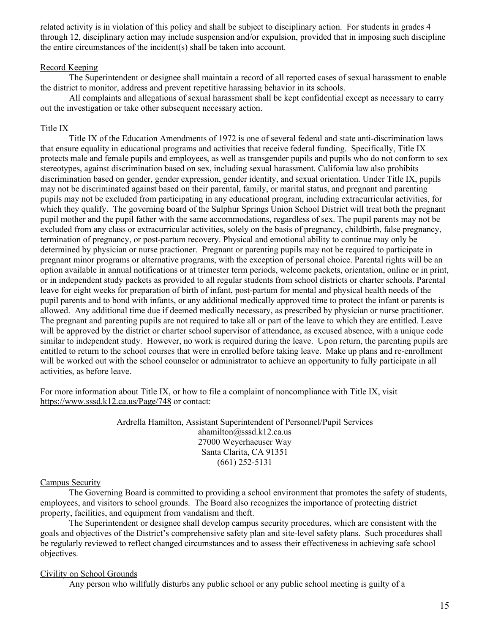related activity is in violation of this policy and shall be subject to disciplinary action. For students in grades 4 through 12, disciplinary action may include suspension and/or expulsion, provided that in imposing such discipline the entire circumstances of the incident(s) shall be taken into account.

#### Record Keeping

The Superintendent or designee shall maintain a record of all reported cases of sexual harassment to enable the district to monitor, address and prevent repetitive harassing behavior in its schools.

All complaints and allegations of sexual harassment shall be kept confidential except as necessary to carry out the investigation or take other subsequent necessary action.

#### Title IX

Title IX of the Education Amendments of 1972 is one of several federal and state anti-discrimination laws that ensure equality in educational programs and activities that receive federal funding. Specifically, Title IX protects male and female pupils and employees, as well as transgender pupils and pupils who do not conform to sex stereotypes, against discrimination based on sex, including sexual harassment. California law also prohibits discrimination based on gender, gender expression, gender identity, and sexual orientation. Under Title IX, pupils may not be discriminated against based on their parental, family, or marital status, and pregnant and parenting pupils may not be excluded from participating in any educational program, including extracurricular activities, for which they qualify. The governing board of the Sulphur Springs Union School District will treat both the pregnant pupil mother and the pupil father with the same accommodations, regardless of sex. The pupil parents may not be excluded from any class or extracurricular activities, solely on the basis of pregnancy, childbirth, false pregnancy, termination of pregnancy, or post-partum recovery. Physical and emotional ability to continue may only be determined by physician or nurse practioner. Pregnant or parenting pupils may not be required to participate in pregnant minor programs or alternative programs, with the exception of personal choice. Parental rights will be an option available in annual notifications or at trimester term periods, welcome packets, orientation, online or in print, or in independent study packets as provided to all regular students from school districts or charter schools. Parental leave for eight weeks for preparation of birth of infant, post-partum for mental and physical health needs of the pupil parents and to bond with infants, or any additional medically approved time to protect the infant or parents is allowed. Any additional time due if deemed medically necessary, as prescribed by physician or nurse practitioner. The pregnant and parenting pupils are not required to take all or part of the leave to which they are entitled. Leave will be approved by the district or charter school supervisor of attendance, as excused absence, with a unique code similar to independent study. However, no work is required during the leave. Upon return, the parenting pupils are entitled to return to the school courses that were in enrolled before taking leave. Make up plans and re-enrollment will be worked out with the school counselor or administrator to achieve an opportunity to fully participate in all activities, as before leave.

For more information about Title IX, or how to file a complaint of noncompliance with Title IX, visit https://www.sssd.k12.ca.us/Page/748 or contact:

> Ardrella Hamilton, Assistant Superintendent of Personnel/Pupil Services ahamilton@sssd.k12.ca.us 27000 Weyerhaeuser Way Santa Clarita, CA 91351 (661) 252-5131

#### Campus Security

The Governing Board is committed to providing a school environment that promotes the safety of students, employees, and visitors to school grounds. The Board also recognizes the importance of protecting district property, facilities, and equipment from vandalism and theft.

The Superintendent or designee shall develop campus security procedures, which are consistent with the goals and objectives of the District's comprehensive safety plan and site-level safety plans. Such procedures shall be regularly reviewed to reflect changed circumstances and to assess their effectiveness in achieving safe school objectives.

#### Civility on School Grounds

Any person who willfully disturbs any public school or any public school meeting is guilty of a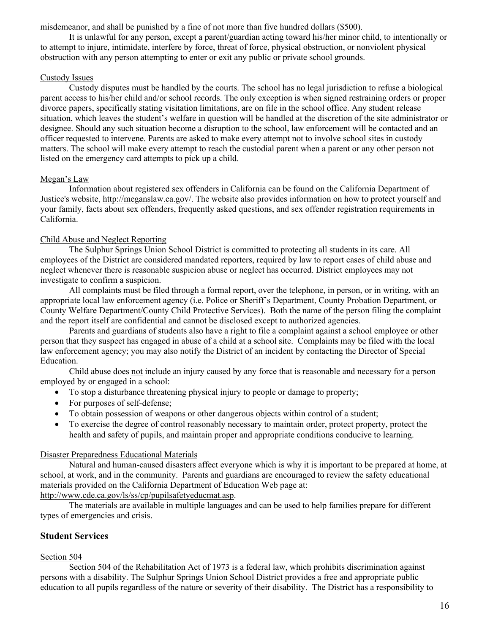misdemeanor, and shall be punished by a fine of not more than five hundred dollars (\$500).

It is unlawful for any person, except a parent/guardian acting toward his/her minor child, to intentionally or to attempt to injure, intimidate, interfere by force, threat of force, physical obstruction, or nonviolent physical obstruction with any person attempting to enter or exit any public or private school grounds.

# Custody Issues

Custody disputes must be handled by the courts. The school has no legal jurisdiction to refuse a biological parent access to his/her child and/or school records. The only exception is when signed restraining orders or proper divorce papers, specifically stating visitation limitations, are on file in the school office. Any student release situation, which leaves the student's welfare in question will be handled at the discretion of the site administrator or designee. Should any such situation become a disruption to the school, law enforcement will be contacted and an officer requested to intervene. Parents are asked to make every attempt not to involve school sites in custody matters. The school will make every attempt to reach the custodial parent when a parent or any other person not listed on the emergency card attempts to pick up a child.

# Megan's Law

Information about registered sex offenders in California can be found on the California Department of Justice's website, http://meganslaw.ca.gov/. The website also provides information on how to protect yourself and your family, facts about sex offenders, frequently asked questions, and sex offender registration requirements in California.

# Child Abuse and Neglect Reporting

The Sulphur Springs Union School District is committed to protecting all students in its care. All employees of the District are considered mandated reporters, required by law to report cases of child abuse and neglect whenever there is reasonable suspicion abuse or neglect has occurred. District employees may not investigate to confirm a suspicion.

All complaints must be filed through a formal report, over the telephone, in person, or in writing, with an appropriate local law enforcement agency (i.e. Police or Sheriff's Department, County Probation Department, or County Welfare Department/County Child Protective Services). Both the name of the person filing the complaint and the report itself are confidential and cannot be disclosed except to authorized agencies.

Parents and guardians of students also have a right to file a complaint against a school employee or other person that they suspect has engaged in abuse of a child at a school site. Complaints may be filed with the local law enforcement agency; you may also notify the District of an incident by contacting the Director of Special Education.

Child abuse does not include an injury caused by any force that is reasonable and necessary for a person employed by or engaged in a school:

- To stop a disturbance threatening physical injury to people or damage to property;
- For purposes of self-defense;
- To obtain possession of weapons or other dangerous objects within control of a student;
- To exercise the degree of control reasonably necessary to maintain order, protect property, protect the health and safety of pupils, and maintain proper and appropriate conditions conducive to learning.

#### Disaster Preparedness Educational Materials

Natural and human-caused disasters affect everyone which is why it is important to be prepared at home, at school, at work, and in the community. Parents and guardians are encouraged to review the safety educational materials provided on the California Department of Education Web page at: http://www.cde.ca.gov/ls/ss/cp/pupilsafetyeducmat.asp.

The materials are available in multiple languages and can be used to help families prepare for different types of emergencies and crisis.

# **Student Services**

# Section 504

Section 504 of the Rehabilitation Act of 1973 is a federal law, which prohibits discrimination against persons with a disability. The Sulphur Springs Union School District provides a free and appropriate public education to all pupils regardless of the nature or severity of their disability. The District has a responsibility to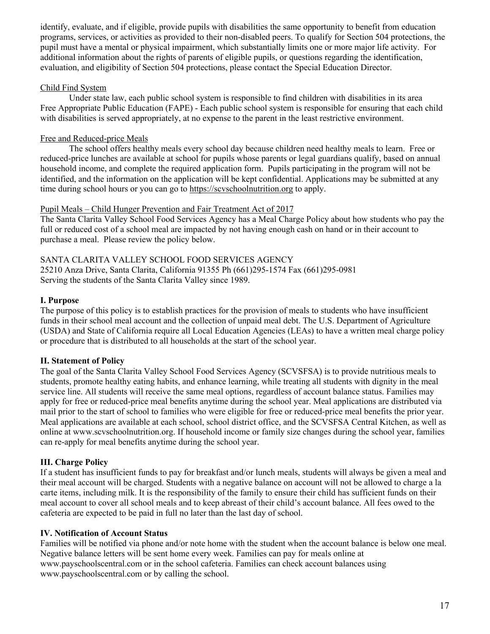identify, evaluate, and if eligible, provide pupils with disabilities the same opportunity to benefit from education programs, services, or activities as provided to their non-disabled peers. To qualify for Section 504 protections, the pupil must have a mental or physical impairment, which substantially limits one or more major life activity. For additional information about the rights of parents of eligible pupils, or questions regarding the identification, evaluation, and eligibility of Section 504 protections, please contact the Special Education Director.

# Child Find System

Under state law, each public school system is responsible to find children with disabilities in its area Free Appropriate Public Education (FAPE) - Each public school system is responsible for ensuring that each child with disabilities is served appropriately, at no expense to the parent in the least restrictive environment.

# Free and Reduced-price Meals

The school offers healthy meals every school day because children need healthy meals to learn. Free or reduced-price lunches are available at school for pupils whose parents or legal guardians qualify, based on annual household income, and complete the required application form. Pupils participating in the program will not be identified, and the information on the application will be kept confidential. Applications may be submitted at any time during school hours or you can go to https://scvschoolnutrition.org to apply.

#### Pupil Meals – Child Hunger Prevention and Fair Treatment Act of 2017

The Santa Clarita Valley School Food Services Agency has a Meal Charge Policy about how students who pay the full or reduced cost of a school meal are impacted by not having enough cash on hand or in their account to purchase a meal. Please review the policy below.

# SANTA CLARITA VALLEY SCHOOL FOOD SERVICES AGENCY

25210 Anza Drive, Santa Clarita, California 91355 Ph (661)295-1574 Fax (661)295-0981 Serving the students of the Santa Clarita Valley since 1989.

# **I. Purpose**

The purpose of this policy is to establish practices for the provision of meals to students who have insufficient funds in their school meal account and the collection of unpaid meal debt. The U.S. Department of Agriculture (USDA) and State of California require all Local Education Agencies (LEAs) to have a written meal charge policy or procedure that is distributed to all households at the start of the school year.

# **II. Statement of Policy**

The goal of the Santa Clarita Valley School Food Services Agency (SCVSFSA) is to provide nutritious meals to students, promote healthy eating habits, and enhance learning, while treating all students with dignity in the meal service line. All students will receive the same meal options, regardless of account balance status. Families may apply for free or reduced-price meal benefits anytime during the school year. Meal applications are distributed via mail prior to the start of school to families who were eligible for free or reduced-price meal benefits the prior year. Meal applications are available at each school, school district office, and the SCVSFSA Central Kitchen, as well as online at www.scvschoolnutrition.org. If household income or family size changes during the school year, families can re-apply for meal benefits anytime during the school year.

# **III. Charge Policy**

If a student has insufficient funds to pay for breakfast and/or lunch meals, students will always be given a meal and their meal account will be charged. Students with a negative balance on account will not be allowed to charge a la carte items, including milk. It is the responsibility of the family to ensure their child has sufficient funds on their meal account to cover all school meals and to keep abreast of their child's account balance. All fees owed to the cafeteria are expected to be paid in full no later than the last day of school.

#### **IV. Notification of Account Status**

Families will be notified via phone and/or note home with the student when the account balance is below one meal. Negative balance letters will be sent home every week. Families can pay for meals online at www.payschoolscentral.com or in the school cafeteria. Families can check account balances using www.payschoolscentral.com or by calling the school.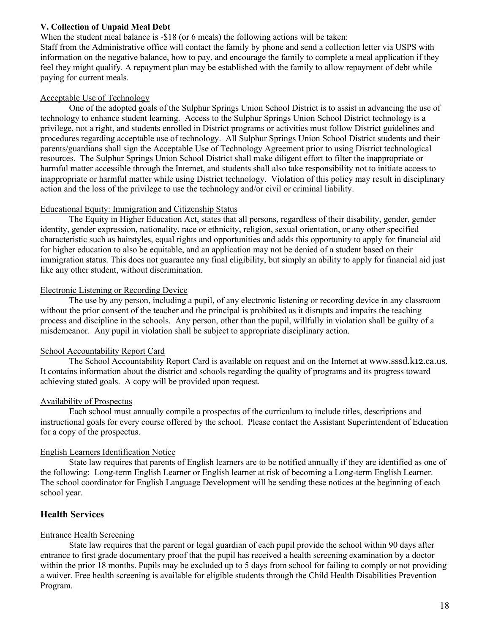# **V. Collection of Unpaid Meal Debt**

When the student meal balance is -\$18 (or 6 meals) the following actions will be taken: Staff from the Administrative office will contact the family by phone and send a collection letter via USPS with information on the negative balance, how to pay, and encourage the family to complete a meal application if they feel they might qualify. A repayment plan may be established with the family to allow repayment of debt while paying for current meals.

#### Acceptable Use of Technology

One of the adopted goals of the Sulphur Springs Union School District is to assist in advancing the use of technology to enhance student learning. Access to the Sulphur Springs Union School District technology is a privilege, not a right, and students enrolled in District programs or activities must follow District guidelines and procedures regarding acceptable use of technology. All Sulphur Springs Union School District students and their parents/guardians shall sign the Acceptable Use of Technology Agreement prior to using District technological resources. The Sulphur Springs Union School District shall make diligent effort to filter the inappropriate or harmful matter accessible through the Internet, and students shall also take responsibility not to initiate access to inappropriate or harmful matter while using District technology. Violation of this policy may result in disciplinary action and the loss of the privilege to use the technology and/or civil or criminal liability.

#### Educational Equity: Immigration and Citizenship Status

The Equity in Higher Education Act, states that all persons, regardless of their disability, gender, gender identity, gender expression, nationality, race or ethnicity, religion, sexual orientation, or any other specified characteristic such as hairstyles, equal rights and opportunities and adds this opportunity to apply for financial aid for higher education to also be equitable, and an application may not be denied of a student based on their immigration status. This does not guarantee any final eligibility, but simply an ability to apply for financial aid just like any other student, without discrimination.

# Electronic Listening or Recording Device

The use by any person, including a pupil, of any electronic listening or recording device in any classroom without the prior consent of the teacher and the principal is prohibited as it disrupts and impairs the teaching process and discipline in the schools. Any person, other than the pupil, willfully in violation shall be guilty of a misdemeanor. Any pupil in violation shall be subject to appropriate disciplinary action.

# School Accountability Report Card

The School Accountability Report Card is available on request and on the Internet at www.sssd.k12.ca.us. It contains information about the district and schools regarding the quality of programs and its progress toward achieving stated goals. A copy will be provided upon request.

# Availability of Prospectus

Each school must annually compile a prospectus of the curriculum to include titles, descriptions and instructional goals for every course offered by the school. Please contact the Assistant Superintendent of Education for a copy of the prospectus.

# English Learners Identification Notice

State law requires that parents of English learners are to be notified annually if they are identified as one of the following: Long-term English Learner or English learner at risk of becoming a Long-term English Learner. The school coordinator for English Language Development will be sending these notices at the beginning of each school year.

# **Health Services**

# Entrance Health Screening

State law requires that the parent or legal guardian of each pupil provide the school within 90 days after entrance to first grade documentary proof that the pupil has received a health screening examination by a doctor within the prior 18 months. Pupils may be excluded up to 5 days from school for failing to comply or not providing a waiver. Free health screening is available for eligible students through the Child Health Disabilities Prevention Program.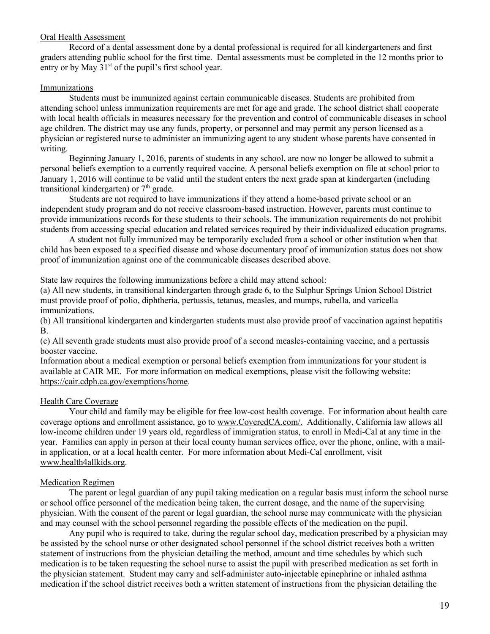#### Oral Health Assessment

Record of a dental assessment done by a dental professional is required for all kindergarteners and first graders attending public school for the first time. Dental assessments must be completed in the 12 months prior to entry or by May  $31<sup>st</sup>$  of the pupil's first school year.

#### **Immunizations**

Students must be immunized against certain communicable diseases. Students are prohibited from attending school unless immunization requirements are met for age and grade. The school district shall cooperate with local health officials in measures necessary for the prevention and control of communicable diseases in school age children. The district may use any funds, property, or personnel and may permit any person licensed as a physician or registered nurse to administer an immunizing agent to any student whose parents have consented in writing.

Beginning January 1, 2016, parents of students in any school, are now no longer be allowed to submit a personal beliefs exemption to a currently required vaccine. A personal beliefs exemption on file at school prior to January 1, 2016 will continue to be valid until the student enters the next grade span at kindergarten (including transitional kindergarten) or  $7<sup>th</sup>$  grade.

Students are not required to have immunizations if they attend a home-based private school or an independent study program and do not receive classroom-based instruction. However, parents must continue to provide immunizations records for these students to their schools. The immunization requirements do not prohibit students from accessing special education and related services required by their individualized education programs.

A student not fully immunized may be temporarily excluded from a school or other institution when that child has been exposed to a specified disease and whose documentary proof of immunization status does not show proof of immunization against one of the communicable diseases described above.

State law requires the following immunizations before a child may attend school:

(a) All new students, in transitional kindergarten through grade 6, to the Sulphur Springs Union School District must provide proof of polio, diphtheria, pertussis, tetanus, measles, and mumps, rubella, and varicella immunizations.

(b) All transitional kindergarten and kindergarten students must also provide proof of vaccination against hepatitis B.

(c) All seventh grade students must also provide proof of a second measles-containing vaccine, and a pertussis booster vaccine.

Information about a medical exemption or personal beliefs exemption from immunizations for your student is available at CAIR ME. For more information on medical exemptions, please visit the following website: https://cair.cdph.ca.gov/exemptions/home.

#### Health Care Coverage

Your child and family may be eligible for free low-cost health coverage. For information about health care coverage options and enrollment assistance, go to www.CoveredCA.com/. Additionally, California law allows all low-income children under 19 years old, regardless of immigration status, to enroll in Medi-Cal at any time in the year. Families can apply in person at their local county human services office, over the phone, online, with a mailin application, or at a local health center. For more information about Medi-Cal enrollment, visit www.health4allkids.org.

#### Medication Regimen

The parent or legal guardian of any pupil taking medication on a regular basis must inform the school nurse or school office personnel of the medication being taken, the current dosage, and the name of the supervising physician. With the consent of the parent or legal guardian, the school nurse may communicate with the physician and may counsel with the school personnel regarding the possible effects of the medication on the pupil.

Any pupil who is required to take, during the regular school day, medication prescribed by a physician may be assisted by the school nurse or other designated school personnel if the school district receives both a written statement of instructions from the physician detailing the method, amount and time schedules by which such medication is to be taken requesting the school nurse to assist the pupil with prescribed medication as set forth in the physician statement. Student may carry and self-administer auto-injectable epinephrine or inhaled asthma medication if the school district receives both a written statement of instructions from the physician detailing the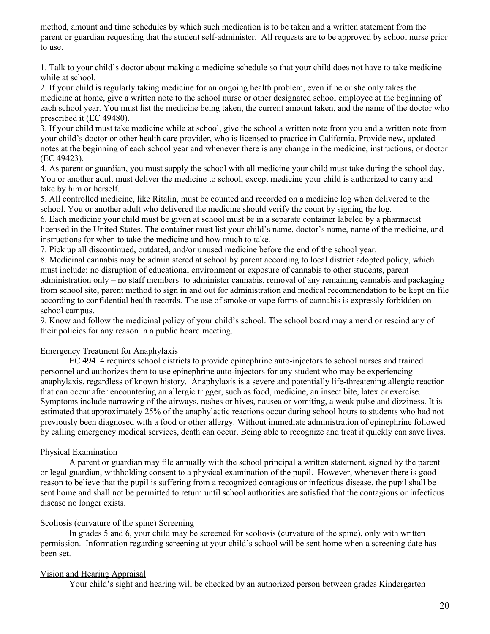method, amount and time schedules by which such medication is to be taken and a written statement from the parent or guardian requesting that the student self-administer. All requests are to be approved by school nurse prior to use.

1. Talk to your child's doctor about making a medicine schedule so that your child does not have to take medicine while at school.

2. If your child is regularly taking medicine for an ongoing health problem, even if he or she only takes the medicine at home, give a written note to the school nurse or other designated school employee at the beginning of each school year. You must list the medicine being taken, the current amount taken, and the name of the doctor who prescribed it (EC 49480).

3. If your child must take medicine while at school, give the school a written note from you and a written note from your child's doctor or other health care provider, who is licensed to practice in California. Provide new, updated notes at the beginning of each school year and whenever there is any change in the medicine, instructions, or doctor (EC 49423).

4. As parent or guardian, you must supply the school with all medicine your child must take during the school day. You or another adult must deliver the medicine to school, except medicine your child is authorized to carry and take by him or herself.

5. All controlled medicine, like Ritalin, must be counted and recorded on a medicine log when delivered to the school. You or another adult who delivered the medicine should verify the count by signing the log.

6. Each medicine your child must be given at school must be in a separate container labeled by a pharmacist licensed in the United States. The container must list your child's name, doctor's name, name of the medicine, and instructions for when to take the medicine and how much to take.

7. Pick up all discontinued, outdated, and/or unused medicine before the end of the school year.

8. Medicinal cannabis may be administered at school by parent according to local district adopted policy, which must include: no disruption of educational environment or exposure of cannabis to other students, parent administration only – no staff members to administer cannabis, removal of any remaining cannabis and packaging from school site, parent method to sign in and out for administration and medical recommendation to be kept on file according to confidential health records. The use of smoke or vape forms of cannabis is expressly forbidden on school campus.

9. Know and follow the medicinal policy of your child's school. The school board may amend or rescind any of their policies for any reason in a public board meeting.

#### Emergency Treatment for Anaphylaxis

EC 49414 requires school districts to provide epinephrine auto-injectors to school nurses and trained personnel and authorizes them to use epinephrine auto-injectors for any student who may be experiencing anaphylaxis, regardless of known history. Anaphylaxis is a severe and potentially life-threatening allergic reaction that can occur after encountering an allergic trigger, such as food, medicine, an insect bite, latex or exercise. Symptoms include narrowing of the airways, rashes or hives, nausea or vomiting, a weak pulse and dizziness. It is estimated that approximately 25% of the anaphylactic reactions occur during school hours to students who had not previously been diagnosed with a food or other allergy. Without immediate administration of epinephrine followed by calling emergency medical services, death can occur. Being able to recognize and treat it quickly can save lives.

#### Physical Examination

A parent or guardian may file annually with the school principal a written statement, signed by the parent or legal guardian, withholding consent to a physical examination of the pupil. However, whenever there is good reason to believe that the pupil is suffering from a recognized contagious or infectious disease, the pupil shall be sent home and shall not be permitted to return until school authorities are satisfied that the contagious or infectious disease no longer exists.

#### Scoliosis (curvature of the spine) Screening

In grades 5 and 6, your child may be screened for scoliosis (curvature of the spine), only with written permission. Information regarding screening at your child's school will be sent home when a screening date has been set.

#### Vision and Hearing Appraisal

Your child's sight and hearing will be checked by an authorized person between grades Kindergarten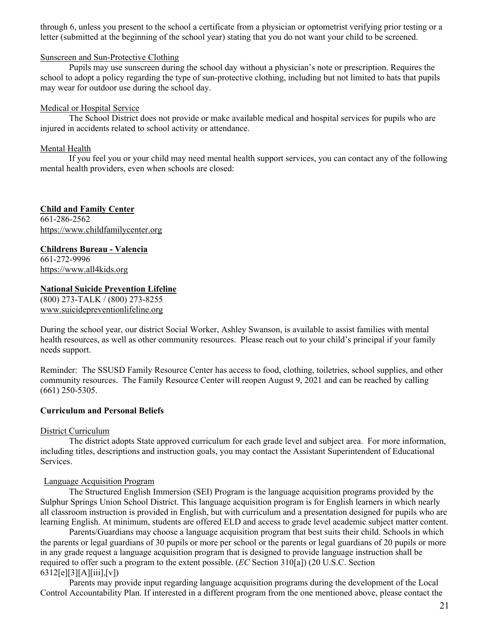through 6, unless you present to the school a certificate from a physician or optometrist verifying prior testing or a letter (submitted at the beginning of the school year) stating that you do not want your child to be screened.

#### Sunscreen and Sun-Protective Clothing

Pupils may use sunscreen during the school day without a physician's note or prescription. Requires the school to adopt a policy regarding the type of sun-protective clothing, including but not limited to hats that pupils may wear for outdoor use during the school day.

#### Medical or Hospital Service

The School District does not provide or make available medical and hospital services for pupils who are injured in accidents related to school activity or attendance.

#### Mental Health

If you feel you or your child may need mental health support services, you can contact any of the following mental health providers, even when schools are closed:

**Child and Family Center** 661-286-2562 https://www.childfamilycenter.org

**Childrens Bureau - Valencia** 661-272-9996 https://www.all4kids.org

#### **National Suicide Prevention Lifeline**

(800) 273-TALK / (800) 273-8255 www.suicidepreventionlifeline.org

During the school year, our district Social Worker, Ashley Swanson, is available to assist families with mental health resources, as well as other community resources. Please reach out to your child's principal if your family needs support.

Reminder: The SSUSD Family Resource Center has access to food, clothing, toiletries, school supplies, and other community resources. The Family Resource Center will reopen August 9, 2021 and can be reached by calling (661) 250-5305.

#### **Curriculum and Personal Beliefs**

#### District Curriculum

The district adopts State approved curriculum for each grade level and subject area. For more information, including titles, descriptions and instruction goals, you may contact the Assistant Superintendent of Educational Services.

#### Language Acquisition Program

The Structured English Immersion (SEI) Program is the language acquisition programs provided by the Sulphur Springs Union School District. This language acquisition program is for English learners in which nearly all classroom instruction is provided in English, but with curriculum and a presentation designed for pupils who are learning English. At minimum, students are offered ELD and access to grade level academic subject matter content.

Parents/Guardians may choose a language acquisition program that best suits their child. Schools in which the parents or legal guardians of 30 pupils or more per school or the parents or legal guardians of 20 pupils or more in any grade request a language acquisition program that is designed to provide language instruction shall be required to offer such a program to the extent possible. (*EC* Section 310[a]) (20 U.S.C. Section 6312[e][3][A][iii],[v])

Parents may provide input regarding language acquisition programs during the development of the Local Control Accountability Plan. If interested in a different program from the one mentioned above, please contact the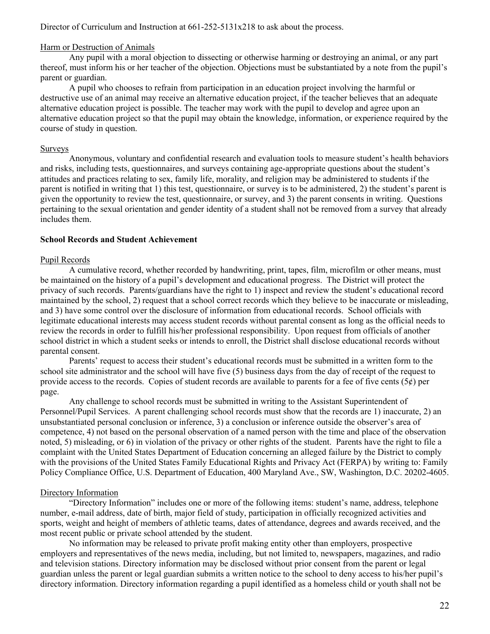Director of Curriculum and Instruction at 661-252-5131x218 to ask about the process.

#### Harm or Destruction of Animals

Any pupil with a moral objection to dissecting or otherwise harming or destroying an animal, or any part thereof, must inform his or her teacher of the objection. Objections must be substantiated by a note from the pupil's parent or guardian.

A pupil who chooses to refrain from participation in an education project involving the harmful or destructive use of an animal may receive an alternative education project, if the teacher believes that an adequate alternative education project is possible. The teacher may work with the pupil to develop and agree upon an alternative education project so that the pupil may obtain the knowledge, information, or experience required by the course of study in question.

#### Surveys

Anonymous, voluntary and confidential research and evaluation tools to measure student's health behaviors and risks, including tests, questionnaires, and surveys containing age-appropriate questions about the student's attitudes and practices relating to sex, family life, morality, and religion may be administered to students if the parent is notified in writing that 1) this test, questionnaire, or survey is to be administered, 2) the student's parent is given the opportunity to review the test, questionnaire, or survey, and 3) the parent consents in writing. Questions pertaining to the sexual orientation and gender identity of a student shall not be removed from a survey that already includes them.

#### **School Records and Student Achievement**

#### Pupil Records

A cumulative record, whether recorded by handwriting, print, tapes, film, microfilm or other means, must be maintained on the history of a pupil's development and educational progress. The District will protect the privacy of such records. Parents/guardians have the right to 1) inspect and review the student's educational record maintained by the school, 2) request that a school correct records which they believe to be inaccurate or misleading, and 3) have some control over the disclosure of information from educational records. School officials with legitimate educational interests may access student records without parental consent as long as the official needs to review the records in order to fulfill his/her professional responsibility. Upon request from officials of another school district in which a student seeks or intends to enroll, the District shall disclose educational records without parental consent.

Parents' request to access their student's educational records must be submitted in a written form to the school site administrator and the school will have five (5) business days from the day of receipt of the request to provide access to the records. Copies of student records are available to parents for a fee of five cents  $(5¢)$  per page.

Any challenge to school records must be submitted in writing to the Assistant Superintendent of Personnel/Pupil Services. A parent challenging school records must show that the records are 1) inaccurate, 2) an unsubstantiated personal conclusion or inference, 3) a conclusion or inference outside the observer's area of competence, 4) not based on the personal observation of a named person with the time and place of the observation noted, 5) misleading, or 6) in violation of the privacy or other rights of the student. Parents have the right to file a complaint with the United States Department of Education concerning an alleged failure by the District to comply with the provisions of the United States Family Educational Rights and Privacy Act (FERPA) by writing to: Family Policy Compliance Office, U.S. Department of Education, 400 Maryland Ave., SW, Washington, D.C. 20202-4605.

#### Directory Information

"Directory Information" includes one or more of the following items: student's name, address, telephone number, e-mail address, date of birth, major field of study, participation in officially recognized activities and sports, weight and height of members of athletic teams, dates of attendance, degrees and awards received, and the most recent public or private school attended by the student.

No information may be released to private profit making entity other than employers, prospective employers and representatives of the news media, including, but not limited to, newspapers, magazines, and radio and television stations. Directory information may be disclosed without prior consent from the parent or legal guardian unless the parent or legal guardian submits a written notice to the school to deny access to his/her pupil's directory information. Directory information regarding a pupil identified as a homeless child or youth shall not be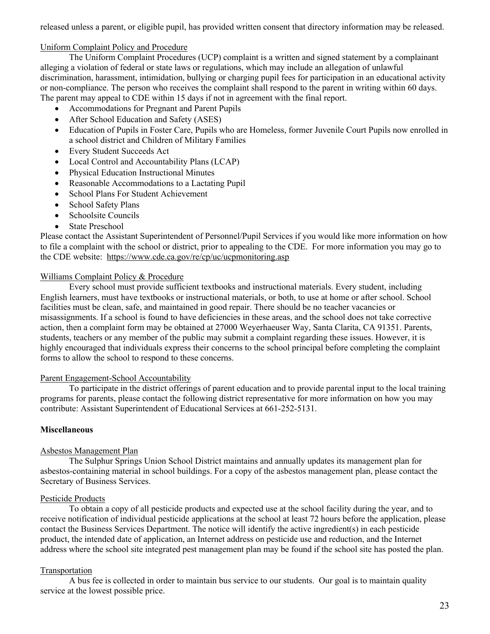released unless a parent, or eligible pupil, has provided written consent that directory information may be released.

#### Uniform Complaint Policy and Procedure

The Uniform Complaint Procedures (UCP) complaint is a written and signed statement by a complainant alleging a violation of federal or state laws or regulations, which may include an allegation of unlawful discrimination, harassment, intimidation, bullying or charging pupil fees for participation in an educational activity or non-compliance. The person who receives the complaint shall respond to the parent in writing within 60 days. The parent may appeal to CDE within 15 days if not in agreement with the final report.

- Accommodations for Pregnant and Parent Pupils
- After School Education and Safety (ASES)
- Education of Pupils in Foster Care, Pupils who are Homeless, former Juvenile Court Pupils now enrolled in a school district and Children of Military Families
- Every Student Succeeds Act
- Local Control and Accountability Plans (LCAP)
- Physical Education Instructional Minutes
- Reasonable Accommodations to a Lactating Pupil
- School Plans For Student Achievement
- School Safety Plans
- Schoolsite Councils
- State Preschool

Please contact the Assistant Superintendent of Personnel/Pupil Services if you would like more information on how to file a complaint with the school or district, prior to appealing to the CDE. For more information you may go to the CDE website: https://www.cde.ca.gov/re/cp/uc/ucpmonitoring.asp

#### Williams Complaint Policy & Procedure

Every school must provide sufficient textbooks and instructional materials. Every student, including English learners, must have textbooks or instructional materials, or both, to use at home or after school. School facilities must be clean, safe, and maintained in good repair. There should be no teacher vacancies or misassignments. If a school is found to have deficiencies in these areas, and the school does not take corrective action, then a complaint form may be obtained at 27000 Weyerhaeuser Way, Santa Clarita, CA 91351. Parents, students, teachers or any member of the public may submit a complaint regarding these issues. However, it is highly encouraged that individuals express their concerns to the school principal before completing the complaint forms to allow the school to respond to these concerns.

#### Parent Engagement-School Accountability

To participate in the district offerings of parent education and to provide parental input to the local training programs for parents, please contact the following district representative for more information on how you may contribute: Assistant Superintendent of Educational Services at 661-252-5131.

#### **Miscellaneous**

#### Asbestos Management Plan

The Sulphur Springs Union School District maintains and annually updates its management plan for asbestos-containing material in school buildings. For a copy of the asbestos management plan, please contact the Secretary of Business Services.

#### Pesticide Products

To obtain a copy of all pesticide products and expected use at the school facility during the year, and to receive notification of individual pesticide applications at the school at least 72 hours before the application, please contact the Business Services Department. The notice will identify the active ingredient(s) in each pesticide product, the intended date of application, an Internet address on pesticide use and reduction, and the Internet address where the school site integrated pest management plan may be found if the school site has posted the plan.

#### Transportation

A bus fee is collected in order to maintain bus service to our students. Our goal is to maintain quality service at the lowest possible price.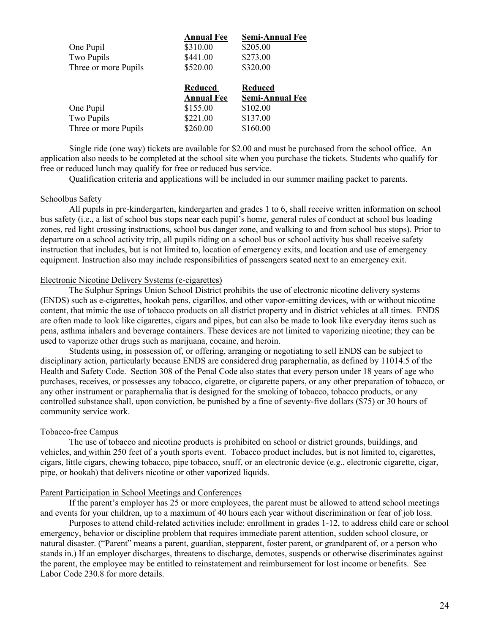| <b>Annual Fee</b> | <b>Semi-Annual Fee</b> |
|-------------------|------------------------|
| \$310.00          | \$205.00               |
| \$441.00          | \$273.00               |
| \$520.00          | \$320.00               |
|                   |                        |
| <b>Reduced</b>    | <b>Reduced</b>         |
| <b>Annual Fee</b> | <b>Semi-Annual Fee</b> |
| \$155.00          | \$102.00               |
| \$221.00          | \$137.00               |
|                   |                        |

Single ride (one way) tickets are available for \$2.00 and must be purchased from the school office. An application also needs to be completed at the school site when you purchase the tickets. Students who qualify for free or reduced lunch may qualify for free or reduced bus service.

Qualification criteria and applications will be included in our summer mailing packet to parents.

#### Schoolbus Safety

All pupils in pre-kindergarten, kindergarten and grades 1 to 6, shall receive written information on school bus safety (i.e., a list of school bus stops near each pupil's home, general rules of conduct at school bus loading zones, red light crossing instructions, school bus danger zone, and walking to and from school bus stops). Prior to departure on a school activity trip, all pupils riding on a school bus or school activity bus shall receive safety instruction that includes, but is not limited to, location of emergency exits, and location and use of emergency equipment. Instruction also may include responsibilities of passengers seated next to an emergency exit.

#### Electronic Nicotine Delivery Systems (e-cigarettes)

The Sulphur Springs Union School District prohibits the use of electronic nicotine delivery systems (ENDS) such as e-cigarettes, hookah pens, cigarillos, and other vapor-emitting devices, with or without nicotine content, that mimic the use of tobacco products on all district property and in district vehicles at all times. ENDS are often made to look like cigarettes, cigars and pipes, but can also be made to look like everyday items such as pens, asthma inhalers and beverage containers. These devices are not limited to vaporizing nicotine; they can be used to vaporize other drugs such as marijuana, cocaine, and heroin.

Students using, in possession of, or offering, arranging or negotiating to sell ENDS can be subject to disciplinary action, particularly because ENDS are considered drug paraphernalia, as defined by 11014.5 of the Health and Safety Code. Section 308 of the Penal Code also states that every person under 18 years of age who purchases, receives, or possesses any tobacco, cigarette, or cigarette papers, or any other preparation of tobacco, or any other instrument or paraphernalia that is designed for the smoking of tobacco, tobacco products, or any controlled substance shall, upon conviction, be punished by a fine of seventy-five dollars (\$75) or 30 hours of community service work.

#### Tobacco-free Campus

The use of tobacco and nicotine products is prohibited on school or district grounds, buildings, and vehicles, and within 250 feet of a youth sports event. Tobacco product includes, but is not limited to, cigarettes, cigars, little cigars, chewing tobacco, pipe tobacco, snuff, or an electronic device (e.g., electronic cigarette, cigar, pipe, or hookah) that delivers nicotine or other vaporized liquids.

#### Parent Participation in School Meetings and Conferences

If the parent's employer has 25 or more employees, the parent must be allowed to attend school meetings and events for your children, up to a maximum of 40 hours each year without discrimination or fear of job loss.

Purposes to attend child-related activities include: enrollment in grades 1-12, to address child care or school emergency, behavior or discipline problem that requires immediate parent attention, sudden school closure, or natural disaster. ("Parent" means a parent, guardian, stepparent, foster parent, or grandparent of, or a person who stands in.) If an employer discharges, threatens to discharge, demotes, suspends or otherwise discriminates against the parent, the employee may be entitled to reinstatement and reimbursement for lost income or benefits. See Labor Code 230.8 for more details.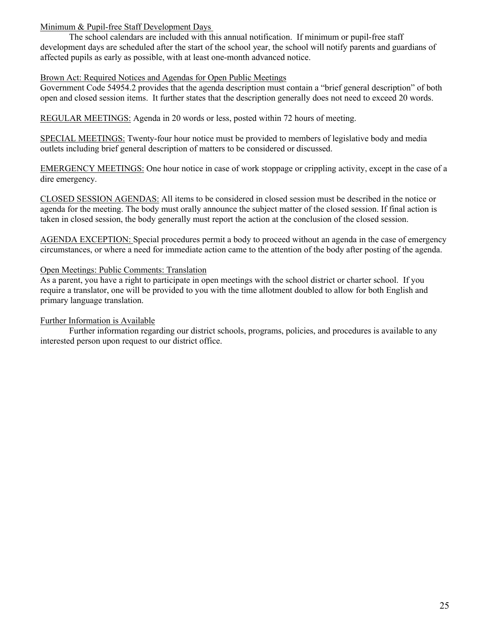# Minimum & Pupil-free Staff Development Days

The school calendars are included with this annual notification. If minimum or pupil-free staff development days are scheduled after the start of the school year, the school will notify parents and guardians of affected pupils as early as possible, with at least one-month advanced notice.

# Brown Act: Required Notices and Agendas for Open Public Meetings

Government Code 54954.2 provides that the agenda description must contain a "brief general description" of both open and closed session items. It further states that the description generally does not need to exceed 20 words.

REGULAR MEETINGS: Agenda in 20 words or less, posted within 72 hours of meeting.

SPECIAL MEETINGS: Twenty-four hour notice must be provided to members of legislative body and media outlets including brief general description of matters to be considered or discussed.

EMERGENCY MEETINGS: One hour notice in case of work stoppage or crippling activity, except in the case of a dire emergency.

CLOSED SESSION AGENDAS: All items to be considered in closed session must be described in the notice or agenda for the meeting. The body must orally announce the subject matter of the closed session. If final action is taken in closed session, the body generally must report the action at the conclusion of the closed session.

AGENDA EXCEPTION: Special procedures permit a body to proceed without an agenda in the case of emergency circumstances, or where a need for immediate action came to the attention of the body after posting of the agenda.

# Open Meetings: Public Comments: Translation

As a parent, you have a right to participate in open meetings with the school district or charter school. If you require a translator, one will be provided to you with the time allotment doubled to allow for both English and primary language translation.

# Further Information is Available

Further information regarding our district schools, programs, policies, and procedures is available to any interested person upon request to our district office.